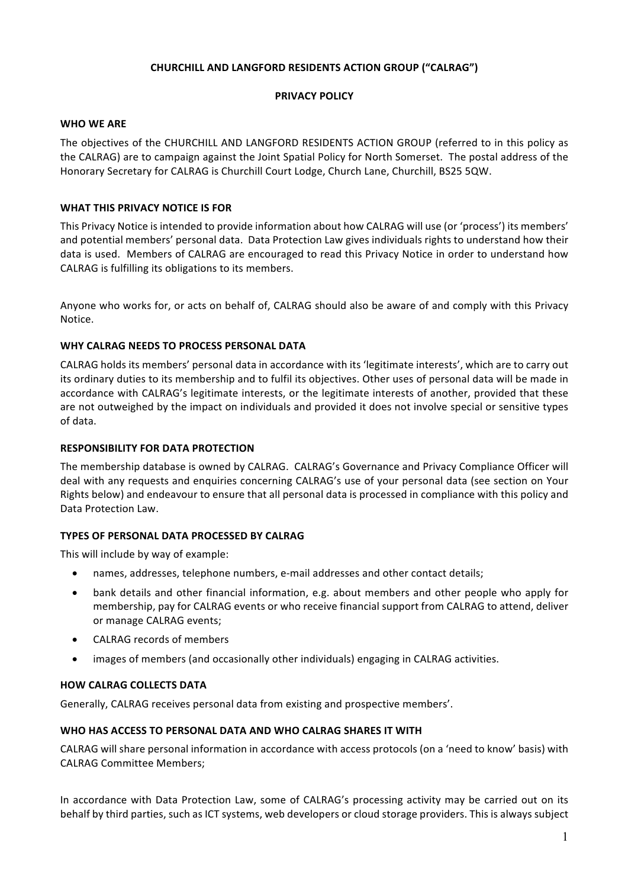# **CHURCHILL AND LANGFORD RESIDENTS ACTION GROUP ("CALRAG")**

## **PRIVACY POLICY**

## **WHO WE ARE**

The objectives of the CHURCHILL AND LANGFORD RESIDENTS ACTION GROUP (referred to in this policy as the CALRAG) are to campaign against the Joint Spatial Policy for North Somerset. The postal address of the Honorary Secretary for CALRAG is Churchill Court Lodge, Church Lane, Churchill, BS25 5QW.

## **WHAT THIS PRIVACY NOTICE IS FOR**

This Privacy Notice is intended to provide information about how CALRAG will use (or 'process') its members' and potential members' personal data. Data Protection Law gives individuals rights to understand how their data is used. Members of CALRAG are encouraged to read this Privacy Notice in order to understand how CALRAG is fulfilling its obligations to its members. 

Anyone who works for, or acts on behalf of, CALRAG should also be aware of and comply with this Privacy Notice.

## **WHY CALRAG NEEDS TO PROCESS PERSONAL DATA**

CALRAG holds its members' personal data in accordance with its 'legitimate interests', which are to carry out its ordinary duties to its membership and to fulfil its objectives. Other uses of personal data will be made in accordance with CALRAG's legitimate interests, or the legitimate interests of another, provided that these are not outweighed by the impact on individuals and provided it does not involve special or sensitive types of data.

## **RESPONSIBILITY FOR DATA PROTECTION**

The membership database is owned by CALRAG. CALRAG's Governance and Privacy Compliance Officer will deal with any requests and enquiries concerning CALRAG's use of your personal data (see section on Your Rights below) and endeavour to ensure that all personal data is processed in compliance with this policy and Data Protection Law.

# **TYPES OF PERSONAL DATA PROCESSED BY CALRAG**

This will include by way of example:

- names, addresses, telephone numbers, e-mail addresses and other contact details;
- bank details and other financial information, e.g. about members and other people who apply for membership, pay for CALRAG events or who receive financial support from CALRAG to attend, deliver or manage CALRAG events;
- CALRAG records of members
- images of members (and occasionally other individuals) engaging in CALRAG activities.

# **HOW CALRAG COLLECTS DATA**

Generally, CALRAG receives personal data from existing and prospective members'.

#### **WHO HAS ACCESS TO PERSONAL DATA AND WHO CALRAG SHARES IT WITH**

CALRAG will share personal information in accordance with access protocols (on a 'need to know' basis) with CALRAG Committee Members;

In accordance with Data Protection Law, some of CALRAG's processing activity may be carried out on its behalf by third parties, such as ICT systems, web developers or cloud storage providers. This is always subject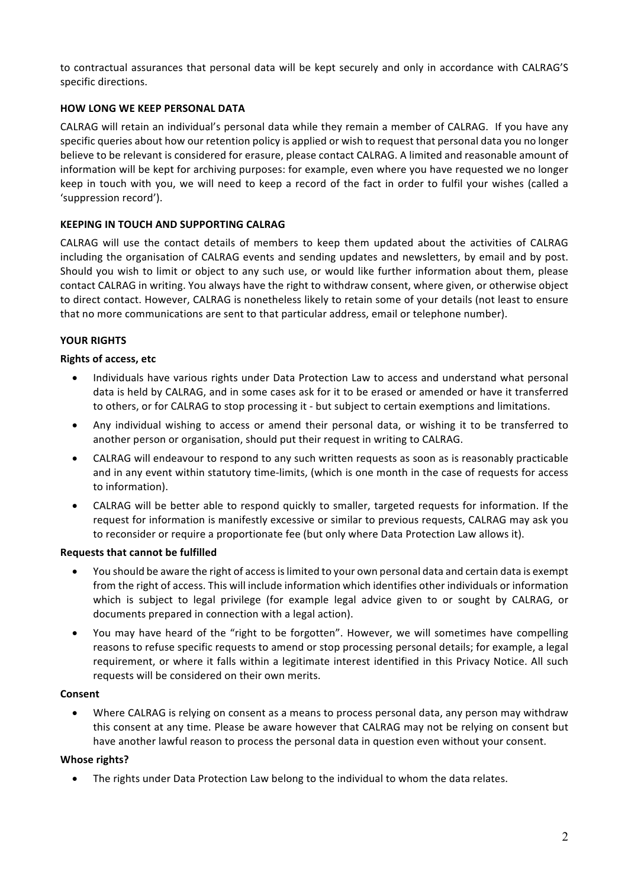to contractual assurances that personal data will be kept securely and only in accordance with CALRAG'S specific directions.

## **HOW LONG WE KEEP PERSONAL DATA**

CALRAG will retain an individual's personal data while they remain a member of CALRAG. If you have any specific queries about how our retention policy is applied or wish to request that personal data you no longer believe to be relevant is considered for erasure, please contact CALRAG. A limited and reasonable amount of information will be kept for archiving purposes: for example, even where you have requested we no longer keep in touch with you, we will need to keep a record of the fact in order to fulfil your wishes (called a 'suppression record').

## **KEEPING IN TOUCH AND SUPPORTING CALRAG**

CALRAG will use the contact details of members to keep them updated about the activities of CALRAG including the organisation of CALRAG events and sending updates and newsletters, by email and by post. Should you wish to limit or object to any such use, or would like further information about them, please contact CALRAG in writing. You always have the right to withdraw consent, where given, or otherwise object to direct contact. However, CALRAG is nonetheless likely to retain some of your details (not least to ensure that no more communications are sent to that particular address, email or telephone number).

# **YOUR RIGHTS**

## **Rights of access, etc**

- Individuals have various rights under Data Protection Law to access and understand what personal data is held by CALRAG, and in some cases ask for it to be erased or amended or have it transferred to others, or for CALRAG to stop processing it - but subject to certain exemptions and limitations.
- Any individual wishing to access or amend their personal data, or wishing it to be transferred to another person or organisation, should put their request in writing to CALRAG.
- CALRAG will endeavour to respond to any such written requests as soon as is reasonably practicable and in any event within statutory time-limits, (which is one month in the case of requests for access to information).
- CALRAG will be better able to respond quickly to smaller, targeted requests for information. If the request for information is manifestly excessive or similar to previous requests, CALRAG may ask you to reconsider or require a proportionate fee (but only where Data Protection Law allows it).

#### **Requests that cannot be fulfilled**

- You should be aware the right of accessislimited to your own personal data and certain data is exempt from the right of access. This will include information which identifies other individuals or information which is subject to legal privilege (for example legal advice given to or sought by CALRAG, or documents prepared in connection with a legal action).
- You may have heard of the "right to be forgotten". However, we will sometimes have compelling reasons to refuse specific requests to amend or stop processing personal details; for example, a legal requirement, or where it falls within a legitimate interest identified in this Privacy Notice. All such requests will be considered on their own merits.

#### **Consent**

• Where CALRAG is relying on consent as a means to process personal data, any person may withdraw this consent at any time. Please be aware however that CALRAG may not be relying on consent but have another lawful reason to process the personal data in question even without your consent.

#### **Whose rights?**

• The rights under Data Protection Law belong to the individual to whom the data relates.